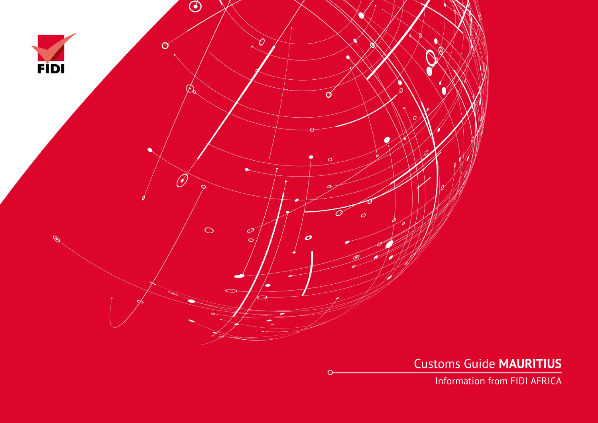

Customs Guide **MAURITIUS**

Information from FIDI AFRICA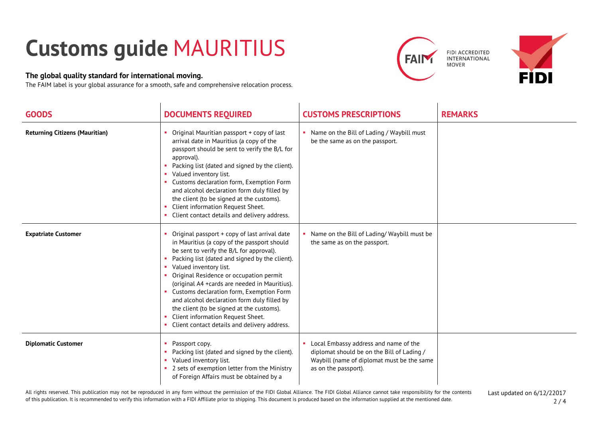## **Customs guide** MAURITIUS

## **The global quality standard for international moving.**

The FAIM label is your global assurance for a smooth, safe and comprehensive relocation process.

 $\mathcal{L}$ 





| <b>GOODS</b>                          | <b>DOCUMENTS REQUIRED</b>                                                                                                                                                                                                                                                                                                                                                                                                                                                                                                                     | <b>CUSTOMS PRESCRIPTIONS</b>                                                                                                                              | <b>REMARKS</b> |
|---------------------------------------|-----------------------------------------------------------------------------------------------------------------------------------------------------------------------------------------------------------------------------------------------------------------------------------------------------------------------------------------------------------------------------------------------------------------------------------------------------------------------------------------------------------------------------------------------|-----------------------------------------------------------------------------------------------------------------------------------------------------------|----------------|
| <b>Returning Citizens (Mauritian)</b> | Original Mauritian passport + copy of last<br>arrival date in Mauritius (a copy of the<br>passport should be sent to verify the B/L for<br>approval).<br>Packing list (dated and signed by the client).<br>Valued inventory list.<br>Customs declaration form, Exemption Form<br>and alcohol declaration form duly filled by<br>the client (to be signed at the customs).<br>Client information Request Sheet.<br>Client contact details and delivery address.                                                                                | Name on the Bill of Lading / Waybill must<br>be the same as on the passport.                                                                              |                |
| <b>Expatriate Customer</b>            | Original passport + copy of last arrival date<br>in Mauritius (a copy of the passport should<br>be sent to verify the B/L for approval).<br>Packing list (dated and signed by the client).<br>Valued inventory list.<br>Original Residence or occupation permit<br>(original A4 +cards are needed in Mauritius).<br>Customs declaration form, Exemption Form<br>and alcohol declaration form duly filled by<br>the client (to be signed at the customs).<br>Client information Request Sheet.<br>Client contact details and delivery address. | Name on the Bill of Lading/ Waybill must be<br>the same as on the passport.                                                                               |                |
| <b>Diplomatic Customer</b>            | Passport copy.<br>Packing list (dated and signed by the client).<br>Valued inventory list.<br>2 sets of exemption letter from the Ministry<br>of Foreign Affairs must be obtained by a                                                                                                                                                                                                                                                                                                                                                        | Local Embassy address and name of the<br>diplomat should be on the Bill of Lading /<br>Waybill (name of diplomat must be the same<br>as on the passport). |                |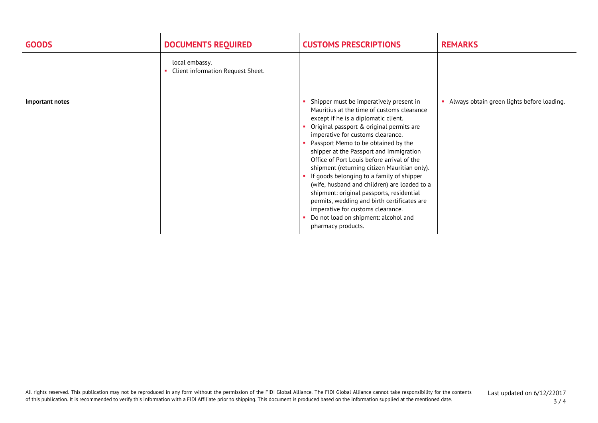| <b>GOODS</b>    | <b>DOCUMENTS REQUIRED</b>                           | <b>CUSTOMS PRESCRIPTIONS</b>                                                                                                                                                                                                                                                                                                                                                                                                                                                                                                                                                                                                                                                               | <b>REMARKS</b>                               |
|-----------------|-----------------------------------------------------|--------------------------------------------------------------------------------------------------------------------------------------------------------------------------------------------------------------------------------------------------------------------------------------------------------------------------------------------------------------------------------------------------------------------------------------------------------------------------------------------------------------------------------------------------------------------------------------------------------------------------------------------------------------------------------------------|----------------------------------------------|
|                 | local embassy.<br>Client information Request Sheet. |                                                                                                                                                                                                                                                                                                                                                                                                                                                                                                                                                                                                                                                                                            |                                              |
| Important notes |                                                     | Shipper must be imperatively present in<br>Mauritius at the time of customs clearance<br>except if he is a diplomatic client.<br>Original passport & original permits are<br>imperative for customs clearance.<br>Passport Memo to be obtained by the<br>shipper at the Passport and Immigration<br>Office of Port Louis before arrival of the<br>shipment (returning citizen Mauritian only).<br>If goods belonging to a family of shipper<br>(wife, husband and children) are loaded to a<br>shipment: original passports, residential<br>permits, wedding and birth certificates are<br>imperative for customs clearance.<br>Do not load on shipment: alcohol and<br>pharmacy products. | • Always obtain green lights before loading. |